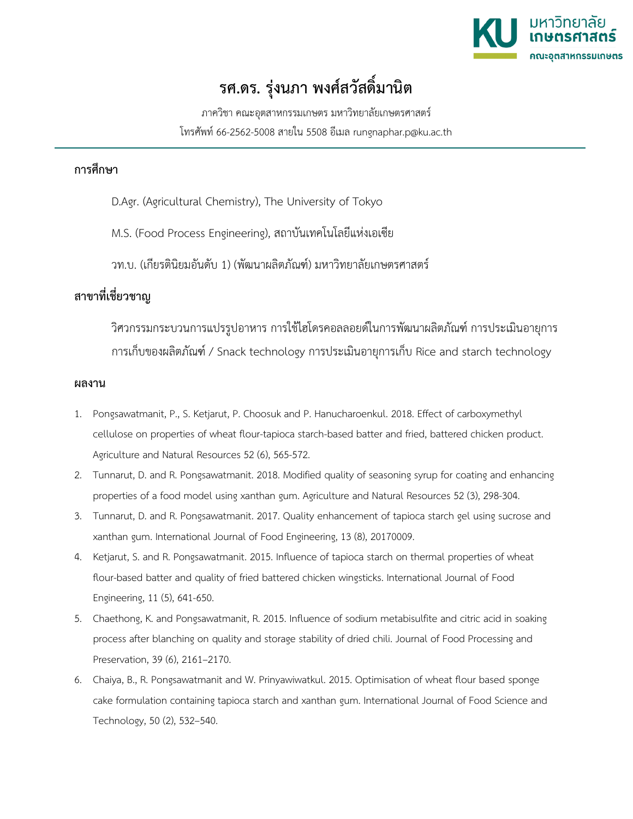

## **รศ.ดร. รุงนภา พงศสวัสดิ์มานิต**

ภาควิชา คณะอุตสาหกรรมเกษตร มหาวิทยาลัยเกษตรศาสตร โทรศัพท 66-2562-5008 สายใน 5508 อีเมล rungnaphar.p@ku.ac.th

## **การศึกษา**

- D.Agr. (Agricultural Chemistry), The University of Tokyo
- M.S. (Food Process Engineering), สถาบันเทคโนโลยีแหงเอเซีย

วท.บ. (เกียรตินิยมอันดับ 1) (พัฒนาผลิตภัณฑ) มหาวิทยาลัยเกษตรศาสตร

## **สาขาที่เชี่ยวชาญ**

วิศวกรรมกระบวนการแปรรูปอาหาร การใชไฮโดรคอลลอยดในการพัฒนาผลิตภัณฑ การประเมินอายุการ การเก็บของผลิตภัณฑ / Snack technology การประเมินอายุการเก็บ Rice and starch technology

## **ผลงาน**

- 1. Pongsawatmanit, P., S. Ketjarut, P. Choosuk and P. Hanucharoenkul. 2018. Effect of carboxymethyl cellulose on properties of wheat flour-tapioca starch-based batter and fried, battered chicken product. Agriculture and Natural Resources 52 (6), 565-572.
- 2. Tunnarut, D. and R. Pongsawatmanit. 2018. Modified quality of seasoning syrup for coating and enhancing properties of a food model using xanthan gum. Agriculture and Natural Resources 52 (3), 298-304.
- 3. Tunnarut, D. and R. Pongsawatmanit. 2017. Quality enhancement of tapioca starch gel using sucrose and xanthan gum. International Journal of Food Engineering, 13 (8), 20170009.
- 4. Ketjarut, S. and R. Pongsawatmanit. 2015. Influence of tapioca starch on thermal properties of wheat flour-based batter and quality of fried battered chicken wingsticks. International Journal of Food Engineering, 11 (5), 641-650.
- 5. Chaethong, K. and Pongsawatmanit, R. 2015. Influence of sodium metabisulfite and citric acid in soaking process after blanching on quality and storage stability of dried chili. Journal of Food Processing and Preservation, 39 (6), 2161–2170.
- 6. Chaiya, B., R. Pongsawatmanit and W. Prinyawiwatkul. 2015. Optimisation of wheat flour based sponge cake formulation containing tapioca starch and xanthan gum. International Journal of Food Science and Technology, 50 (2), 532–540.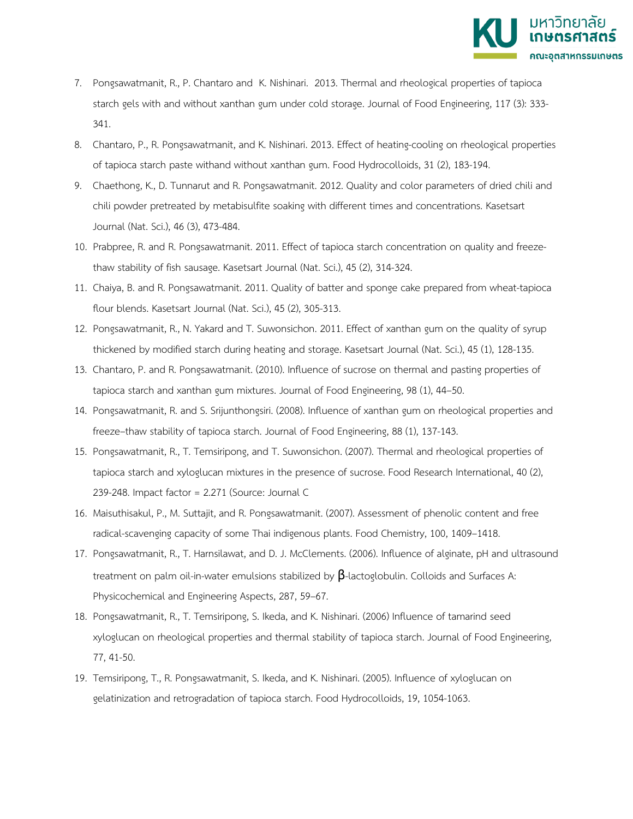

- 7. Pongsawatmanit, R., P. Chantaro and K. Nishinari. 2013. Thermal and rheological properties of tapioca starch gels with and without xanthan gum under cold storage. Journal of Food Engineering, 117 (3): 333- 341.
- 8. Chantaro, P., R. Pongsawatmanit, and K. Nishinari. 2013. Effect of heating-cooling on rheological properties of tapioca starch paste withand without xanthan gum. Food Hydrocolloids, 31 (2), 183-194.
- 9. Chaethong, K., D. Tunnarut and R. Pongsawatmanit. 2012. Quality and color parameters of dried chili and chili powder pretreated by metabisulfite soaking with different times and concentrations. Kasetsart Journal (Nat. Sci.), 46 (3), 473-484.
- 10. Prabpree, R. and R. Pongsawatmanit. 2011. Effect of tapioca starch concentration on quality and freezethaw stability of fish sausage. Kasetsart Journal (Nat. Sci.), 45 (2), 314-324.
- 11. Chaiya, B. and R. Pongsawatmanit. 2011. Quality of batter and sponge cake prepared from wheat-tapioca flour blends. Kasetsart Journal (Nat. Sci.), 45 (2), 305-313.
- 12. Pongsawatmanit, R., N. Yakard and T. Suwonsichon. 2011. Effect of xanthan gum on the quality of syrup thickened by modified starch during heating and storage. Kasetsart Journal (Nat. Sci.), 45 (1), 128-135.
- 13. Chantaro, P. and R. Pongsawatmanit. (2010). Influence of sucrose on thermal and pasting properties of tapioca starch and xanthan gum mixtures. Journal of Food Engineering, 98 (1), 44–50.
- 14. Pongsawatmanit, R. and S. Srijunthongsiri. (2008). Influence of xanthan gum on rheological properties and freeze–thaw stability of tapioca starch. Journal of Food Engineering, 88 (1), 137-143.
- 15. Pongsawatmanit, R., T. Temsiripong, and T. Suwonsichon. (2007). Thermal and rheological properties of tapioca starch and xyloglucan mixtures in the presence of sucrose. Food Research International, 40 (2), 239-248. Impact factor = 2.271 (Source: Journal C
- 16. Maisuthisakul, P., M. Suttajit, and R. Pongsawatmanit. (2007). Assessment of phenolic content and free radical-scavenging capacity of some Thai indigenous plants. Food Chemistry, 100, 1409–1418.
- 17. Pongsawatmanit, R., T. Harnsilawat, and D. J. McClements. (2006). Influence of alginate, pH and ultrasound treatment on palm oil-in-water emulsions stabilized by  $\beta$ -lactoglobulin. Colloids and Surfaces A: Physicochemical and Engineering Aspects, 287, 59–67.
- 18. Pongsawatmanit, R., T. Temsiripong, S. Ikeda, and K. Nishinari. (2006) Influence of tamarind seed xyloglucan on rheological properties and thermal stability of tapioca starch. Journal of Food Engineering, 77, 41-50.
- 19. Temsiripong, T., R. Pongsawatmanit, S. Ikeda, and K. Nishinari. (2005). Influence of xyloglucan on gelatinization and retrogradation of tapioca starch. Food Hydrocolloids, 19, 1054-1063.